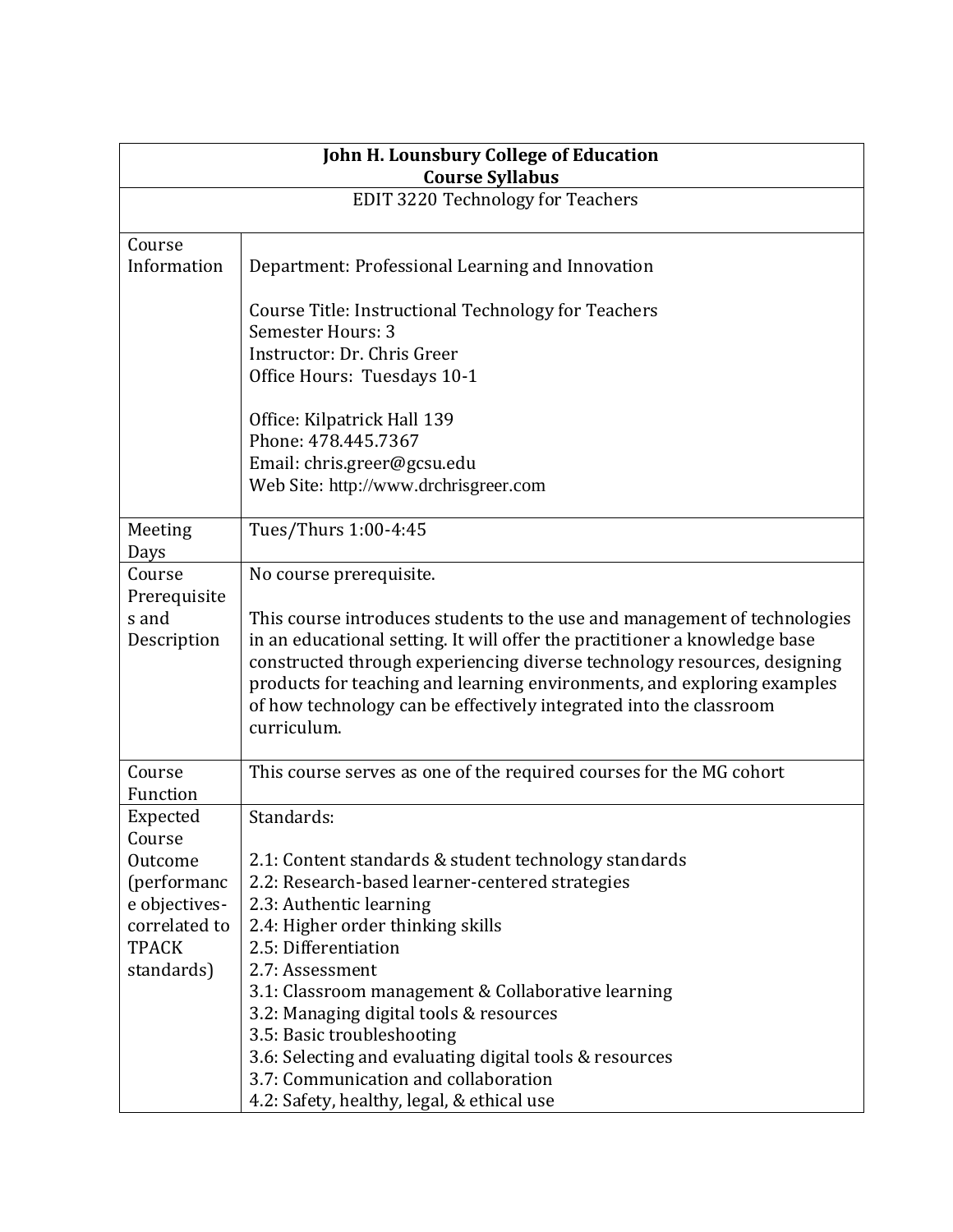| John H. Lounsbury College of Education<br><b>Course Syllabus</b>                                             |                                                                                                                                                                                                                                                                                                                                                                                                                                                                                                                   |  |
|--------------------------------------------------------------------------------------------------------------|-------------------------------------------------------------------------------------------------------------------------------------------------------------------------------------------------------------------------------------------------------------------------------------------------------------------------------------------------------------------------------------------------------------------------------------------------------------------------------------------------------------------|--|
| <b>EDIT 3220 Technology for Teachers</b>                                                                     |                                                                                                                                                                                                                                                                                                                                                                                                                                                                                                                   |  |
| Course<br>Information                                                                                        | Department: Professional Learning and Innovation                                                                                                                                                                                                                                                                                                                                                                                                                                                                  |  |
|                                                                                                              | Course Title: Instructional Technology for Teachers<br>Semester Hours: 3<br>Instructor: Dr. Chris Greer<br>Office Hours: Tuesdays 10-1                                                                                                                                                                                                                                                                                                                                                                            |  |
|                                                                                                              | Office: Kilpatrick Hall 139<br>Phone: 478.445.7367<br>Email: chris.greer@gcsu.edu<br>Web Site: http://www.drchrisgreer.com                                                                                                                                                                                                                                                                                                                                                                                        |  |
| Meeting<br>Days                                                                                              | Tues/Thurs 1:00-4:45                                                                                                                                                                                                                                                                                                                                                                                                                                                                                              |  |
| Course<br>Prerequisite<br>s and<br>Description                                                               | No course prerequisite.<br>This course introduces students to the use and management of technologies<br>in an educational setting. It will offer the practitioner a knowledge base<br>constructed through experiencing diverse technology resources, designing<br>products for teaching and learning environments, and exploring examples<br>of how technology can be effectively integrated into the classroom<br>curriculum.                                                                                    |  |
| Course<br>Function                                                                                           | This course serves as one of the required courses for the MG cohort                                                                                                                                                                                                                                                                                                                                                                                                                                               |  |
| Expected<br>Course<br>Outcome<br>(performanc<br>e objectives-<br>correlated to<br><b>TPACK</b><br>standards) | Standards:<br>2.1: Content standards & student technology standards<br>2.2: Research-based learner-centered strategies<br>2.3: Authentic learning<br>2.4: Higher order thinking skills<br>2.5: Differentiation<br>2.7: Assessment<br>3.1: Classroom management & Collaborative learning<br>3.2: Managing digital tools & resources<br>3.5: Basic troubleshooting<br>3.6: Selecting and evaluating digital tools & resources<br>3.7: Communication and collaboration<br>4.2: Safety, healthy, legal, & ethical use |  |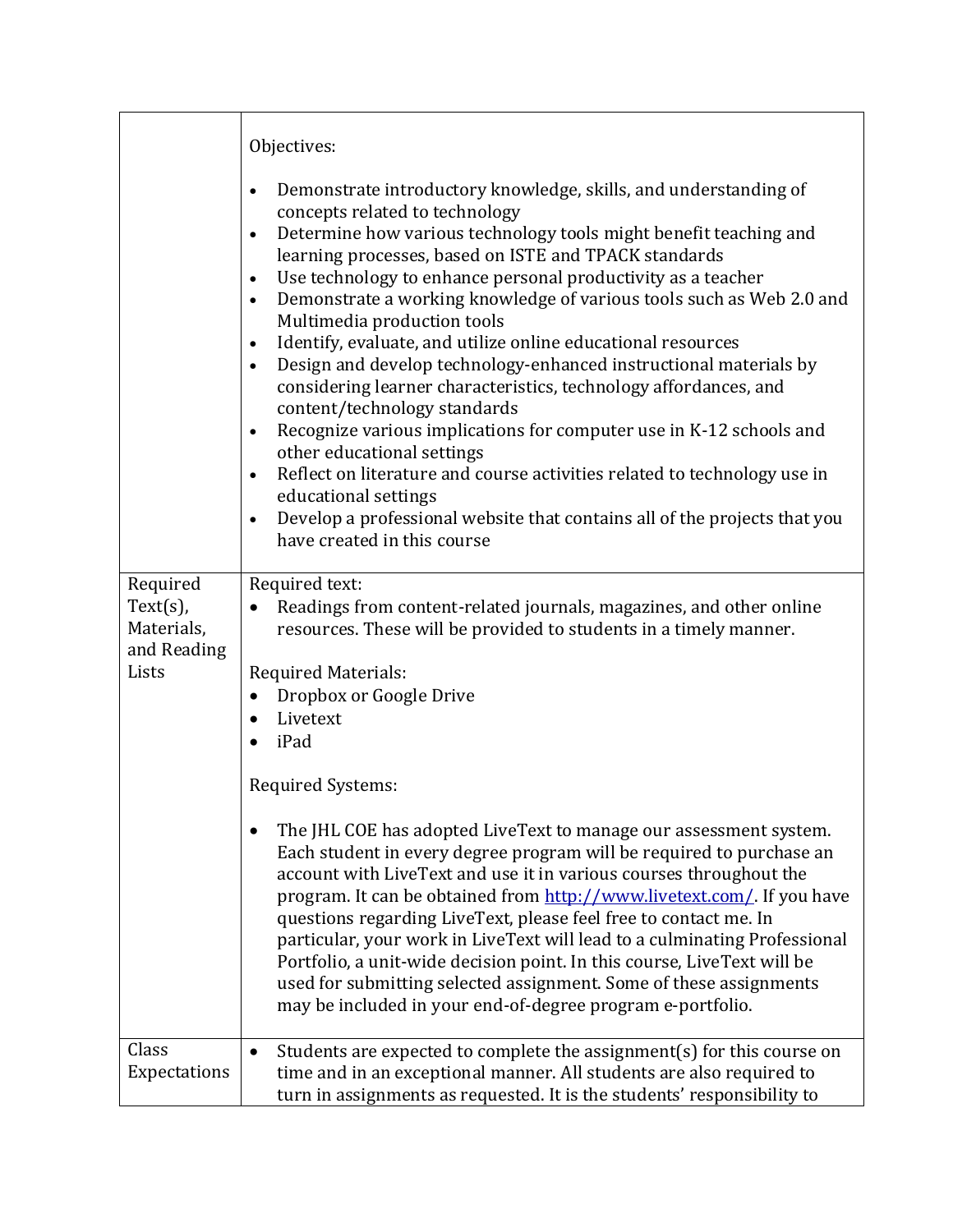|                                                               | Objectives:                                                                                                                                                                                                                                                                                                                                                                                                                                                                                                                                                                                                                                                                                                                                                                                                                                                                                                                                                                                                                                         |
|---------------------------------------------------------------|-----------------------------------------------------------------------------------------------------------------------------------------------------------------------------------------------------------------------------------------------------------------------------------------------------------------------------------------------------------------------------------------------------------------------------------------------------------------------------------------------------------------------------------------------------------------------------------------------------------------------------------------------------------------------------------------------------------------------------------------------------------------------------------------------------------------------------------------------------------------------------------------------------------------------------------------------------------------------------------------------------------------------------------------------------|
|                                                               | Demonstrate introductory knowledge, skills, and understanding of<br>$\bullet$<br>concepts related to technology<br>Determine how various technology tools might benefit teaching and<br>learning processes, based on ISTE and TPACK standards<br>Use technology to enhance personal productivity as a teacher<br>$\bullet$<br>Demonstrate a working knowledge of various tools such as Web 2.0 and<br>$\bullet$<br>Multimedia production tools<br>Identify, evaluate, and utilize online educational resources<br>$\bullet$<br>Design and develop technology-enhanced instructional materials by<br>considering learner characteristics, technology affordances, and<br>content/technology standards<br>Recognize various implications for computer use in K-12 schools and<br>$\bullet$<br>other educational settings<br>Reflect on literature and course activities related to technology use in<br>educational settings<br>Develop a professional website that contains all of the projects that you<br>$\bullet$<br>have created in this course |
| Required<br>$Text(s)$ ,<br>Materials,<br>and Reading<br>Lists | Required text:<br>Readings from content-related journals, magazines, and other online<br>resources. These will be provided to students in a timely manner.<br><b>Required Materials:</b><br>Dropbox or Google Drive<br>٠<br>Livetext<br>iPad<br>$\bullet$<br>Required Systems:<br>The JHL COE has adopted LiveText to manage our assessment system.<br>Each student in every degree program will be required to purchase an<br>account with LiveText and use it in various courses throughout the<br>program. It can be obtained from http://www.livetext.com/. If you have<br>questions regarding LiveText, please feel free to contact me. In<br>particular, your work in LiveText will lead to a culminating Professional<br>Portfolio, a unit-wide decision point. In this course, LiveText will be<br>used for submitting selected assignment. Some of these assignments<br>may be included in your end-of-degree program e-portfolio.                                                                                                         |
| Class<br>Expectations                                         | Students are expected to complete the assignment(s) for this course on<br>time and in an exceptional manner. All students are also required to<br>turn in assignments as requested. It is the students' responsibility to                                                                                                                                                                                                                                                                                                                                                                                                                                                                                                                                                                                                                                                                                                                                                                                                                           |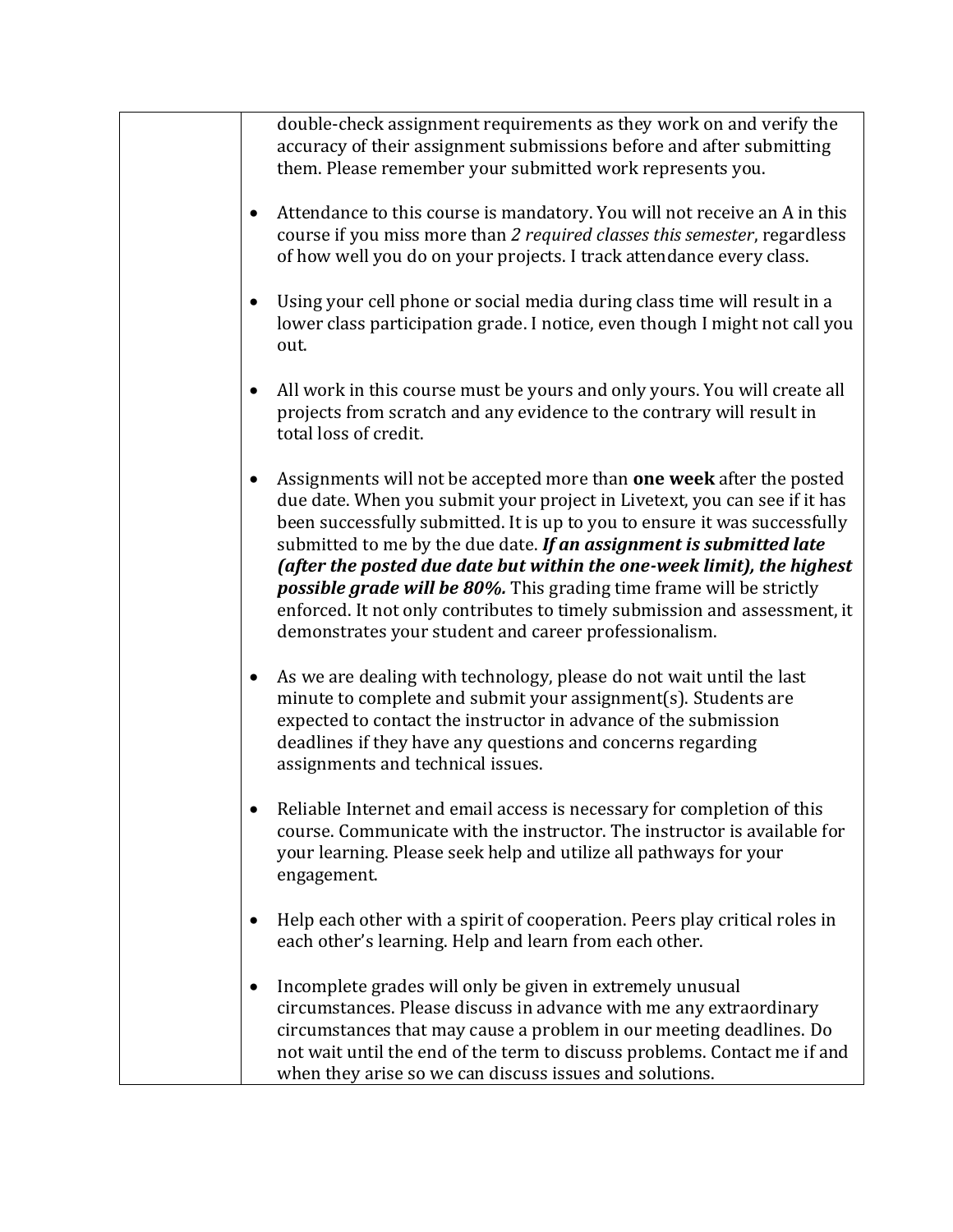| double-check assignment requirements as they work on and verify the<br>accuracy of their assignment submissions before and after submitting<br>them. Please remember your submitted work represents you.                                                                                                                                                                                                                                                                                                                                                                                       |
|------------------------------------------------------------------------------------------------------------------------------------------------------------------------------------------------------------------------------------------------------------------------------------------------------------------------------------------------------------------------------------------------------------------------------------------------------------------------------------------------------------------------------------------------------------------------------------------------|
| Attendance to this course is mandatory. You will not receive an A in this<br>course if you miss more than 2 required classes this semester, regardless<br>of how well you do on your projects. I track attendance every class.                                                                                                                                                                                                                                                                                                                                                                 |
| Using your cell phone or social media during class time will result in a<br>lower class participation grade. I notice, even though I might not call you<br>out.                                                                                                                                                                                                                                                                                                                                                                                                                                |
| All work in this course must be yours and only yours. You will create all<br>projects from scratch and any evidence to the contrary will result in<br>total loss of credit.                                                                                                                                                                                                                                                                                                                                                                                                                    |
| Assignments will not be accepted more than one week after the posted<br>due date. When you submit your project in Livetext, you can see if it has<br>been successfully submitted. It is up to you to ensure it was successfully<br>submitted to me by the due date. If an assignment is submitted late<br>(after the posted due date but within the one-week limit), the highest<br>possible grade will be 80%. This grading time frame will be strictly<br>enforced. It not only contributes to timely submission and assessment, it<br>demonstrates your student and career professionalism. |
| As we are dealing with technology, please do not wait until the last<br>minute to complete and submit your assignment(s). Students are<br>expected to contact the instructor in advance of the submission<br>deadlines if they have any questions and concerns regarding<br>assignments and technical issues.                                                                                                                                                                                                                                                                                  |
| Reliable Internet and email access is necessary for completion of this<br>course. Communicate with the instructor. The instructor is available for<br>your learning. Please seek help and utilize all pathways for your<br>engagement.                                                                                                                                                                                                                                                                                                                                                         |
| Help each other with a spirit of cooperation. Peers play critical roles in<br>each other's learning. Help and learn from each other.                                                                                                                                                                                                                                                                                                                                                                                                                                                           |
| Incomplete grades will only be given in extremely unusual<br>circumstances. Please discuss in advance with me any extraordinary<br>circumstances that may cause a problem in our meeting deadlines. Do<br>not wait until the end of the term to discuss problems. Contact me if and<br>when they arise so we can discuss issues and solutions.                                                                                                                                                                                                                                                 |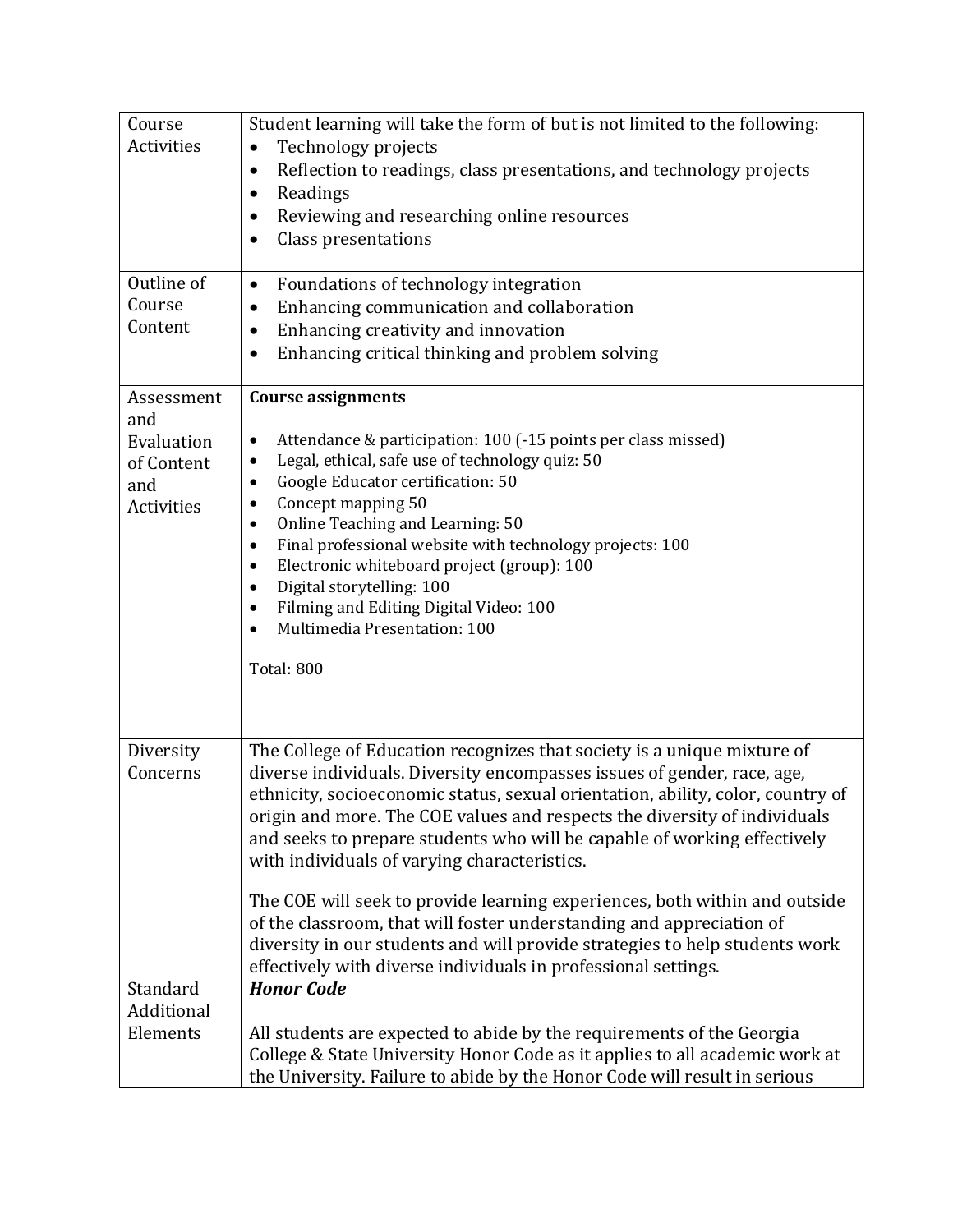| Course<br>Activities<br>Outline of<br>Course<br>Content            | Student learning will take the form of but is not limited to the following:<br>Technology projects<br>Reflection to readings, class presentations, and technology projects<br>٠<br>Readings<br>$\bullet$<br>Reviewing and researching online resources<br>٠<br>Class presentations<br>Foundations of technology integration<br>$\bullet$<br>Enhancing communication and collaboration<br>$\bullet$                                                                                                                                                                                                                                                                                                                                                    |
|--------------------------------------------------------------------|-------------------------------------------------------------------------------------------------------------------------------------------------------------------------------------------------------------------------------------------------------------------------------------------------------------------------------------------------------------------------------------------------------------------------------------------------------------------------------------------------------------------------------------------------------------------------------------------------------------------------------------------------------------------------------------------------------------------------------------------------------|
|                                                                    | Enhancing creativity and innovation<br>٠<br>Enhancing critical thinking and problem solving                                                                                                                                                                                                                                                                                                                                                                                                                                                                                                                                                                                                                                                           |
| Assessment<br>and<br>Evaluation<br>of Content<br>and<br>Activities | <b>Course assignments</b><br>Attendance & participation: 100 (-15 points per class missed)<br>٠<br>Legal, ethical, safe use of technology quiz: 50<br>٠<br>Google Educator certification: 50<br>$\bullet$<br>Concept mapping 50<br>$\bullet$<br>Online Teaching and Learning: 50<br>$\bullet$<br>Final professional website with technology projects: 100<br>$\bullet$<br>Electronic whiteboard project (group): 100<br>$\bullet$<br>Digital storytelling: 100<br>$\bullet$<br>Filming and Editing Digital Video: 100<br>$\bullet$<br>Multimedia Presentation: 100<br>Total: 800                                                                                                                                                                      |
| Diversity<br>Concerns                                              | The College of Education recognizes that society is a unique mixture of<br>diverse individuals. Diversity encompasses issues of gender, race, age,<br>ethnicity, socioeconomic status, sexual orientation, ability, color, country of<br>origin and more. The COE values and respects the diversity of individuals<br>and seeks to prepare students who will be capable of working effectively<br>with individuals of varying characteristics.<br>The COE will seek to provide learning experiences, both within and outside<br>of the classroom, that will foster understanding and appreciation of<br>diversity in our students and will provide strategies to help students work<br>effectively with diverse individuals in professional settings. |
| Standard<br>Additional<br>Elements                                 | <b>Honor Code</b><br>All students are expected to abide by the requirements of the Georgia                                                                                                                                                                                                                                                                                                                                                                                                                                                                                                                                                                                                                                                            |
|                                                                    | College & State University Honor Code as it applies to all academic work at<br>the University. Failure to abide by the Honor Code will result in serious                                                                                                                                                                                                                                                                                                                                                                                                                                                                                                                                                                                              |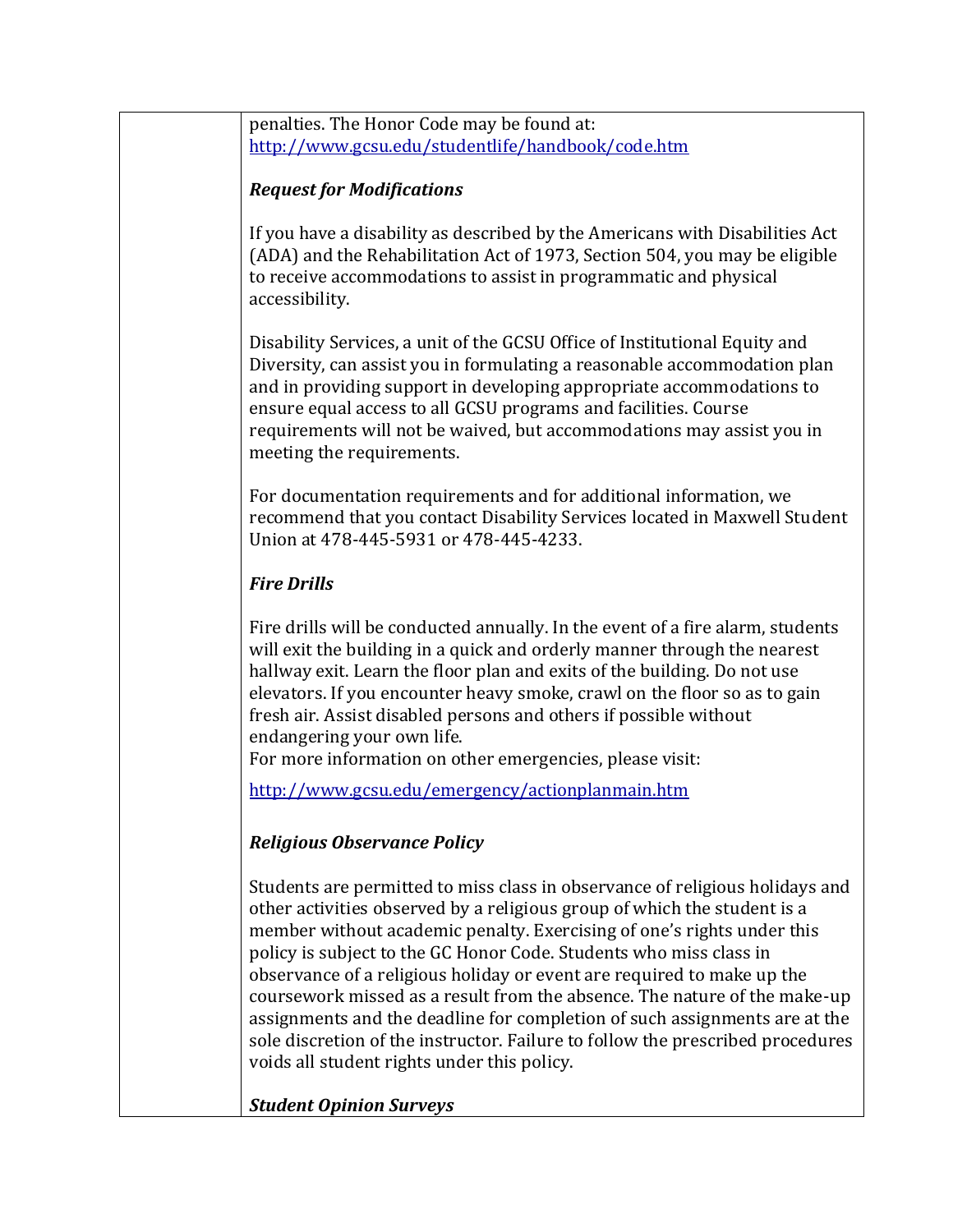penalties. The Honor Code may be found at: <http://www.gcsu.edu/studentlife/handbook/code.htm>

## *Request for Modifications*

If you have a disability as described by the Americans with Disabilities Act (ADA) and the Rehabilitation Act of 1973, Section 504, you may be eligible to receive accommodations to assist in programmatic and physical accessibility.

Disability Services, a unit of the GCSU Office of Institutional Equity and Diversity, can assist you in formulating a reasonable accommodation plan and in providing support in developing appropriate accommodations to ensure equal access to all GCSU programs and facilities. Course requirements will not be waived, but accommodations may assist you in meeting the requirements.

For documentation requirements and for additional information, we recommend that you contact Disability Services located in Maxwell Student Union at 478-445-5931 or 478-445-4233.

## *Fire Drills*

Fire drills will be conducted annually. In the event of a fire alarm, students will exit the building in a quick and orderly manner through the nearest hallway exit. Learn the floor plan and exits of the building. Do not use elevators. If you encounter heavy smoke, crawl on the floor so as to gain fresh air. Assist disabled persons and others if possible without endangering your own life.

For more information on other emergencies, please visit:

<http://www.gcsu.edu/emergency/actionplanmain.htm>

## *Religious Observance Policy*

Students are permitted to miss class in observance of religious holidays and other activities observed by a religious group of which the student is a member without academic penalty. Exercising of one's rights under this policy is subject to the GC Honor Code. Students who miss class in observance of a religious holiday or event are required to make up the coursework missed as a result from the absence. The nature of the make-up assignments and the deadline for completion of such assignments are at the sole discretion of the instructor. Failure to follow the prescribed procedures voids all student rights under this policy.

*Student Opinion Surveys*